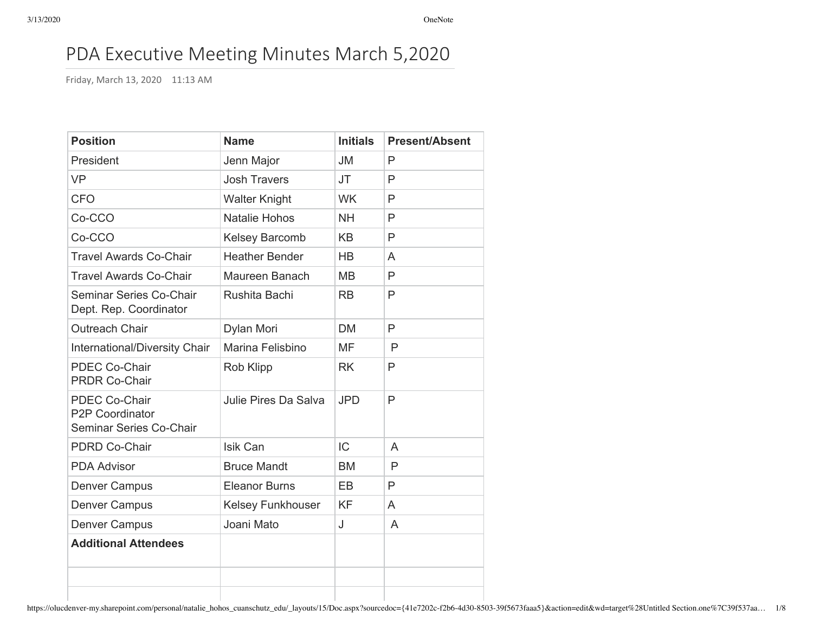# PDA Executive Meeting Minutes March 5,2020

Friday, March 13, 2020 11:13 AM

| <b>Position</b>                                                    | <b>Name</b>              | <b>Initials</b> | <b>Present/Absent</b> |
|--------------------------------------------------------------------|--------------------------|-----------------|-----------------------|
| President                                                          | Jenn Major               | <b>JM</b>       | P                     |
| <b>VP</b>                                                          | <b>Josh Travers</b>      | <b>JT</b>       | P                     |
| <b>CFO</b>                                                         | <b>Walter Knight</b>     | <b>WK</b>       | P                     |
| Co-CCO                                                             | Natalie Hohos            | <b>NH</b>       | P                     |
| Co-CCO                                                             | Kelsey Barcomb           | <b>KB</b>       | P                     |
| <b>Travel Awards Co-Chair</b>                                      | <b>Heather Bender</b>    | <b>HB</b>       | A                     |
| <b>Travel Awards Co-Chair</b>                                      | Maureen Banach           | <b>MB</b>       | P                     |
| Seminar Series Co-Chair<br>Dept. Rep. Coordinator                  | Rushita Bachi            | <b>RB</b>       | P                     |
| Outreach Chair                                                     | Dylan Mori               | <b>DM</b>       | $\mathsf{P}$          |
| International/Diversity Chair                                      | Marina Felisbino         | <b>MF</b>       | P                     |
| <b>PDEC Co-Chair</b><br><b>PRDR Co-Chair</b>                       | Rob Klipp                | <b>RK</b>       | $\mathsf{P}$          |
| <b>PDEC Co-Chair</b><br>P2P Coordinator<br>Seminar Series Co-Chair | Julie Pires Da Salva     | <b>JPD</b>      | $\mathsf{P}$          |
| <b>PDRD Co-Chair</b>                                               | Isik Can                 | IC              | A                     |
| <b>PDA Advisor</b>                                                 | <b>Bruce Mandt</b>       | <b>BM</b>       | $\mathsf{P}$          |
| <b>Denver Campus</b>                                               | <b>Eleanor Burns</b>     | <b>EB</b>       | P                     |
| <b>Denver Campus</b>                                               | <b>Kelsey Funkhouser</b> | <b>KF</b>       | A                     |
| <b>Denver Campus</b>                                               | Joani Mato               | J               | A                     |
| <b>Additional Attendees</b>                                        |                          |                 |                       |
|                                                                    |                          |                 |                       |
|                                                                    |                          |                 |                       |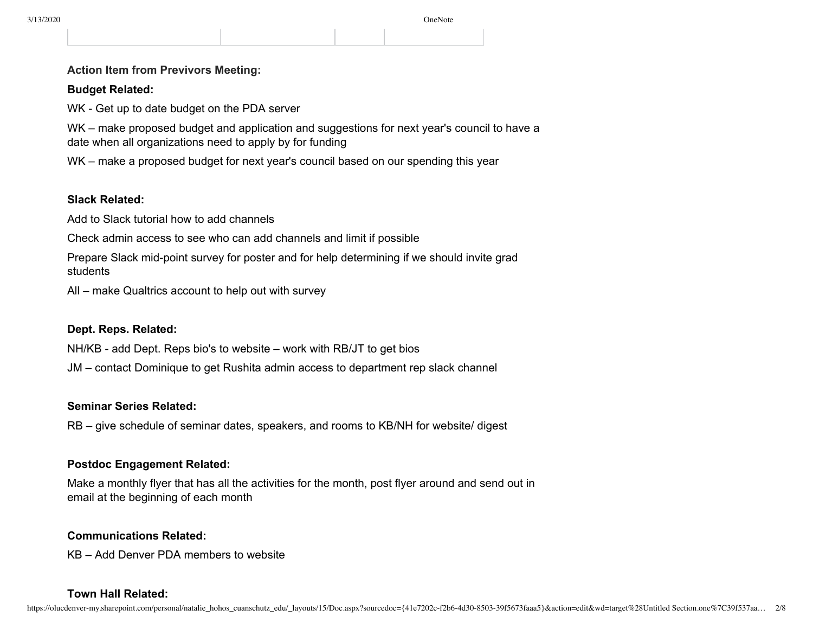#### **Action Item from Previvors Meeting:**

#### **Budget Related:**

WK - Get up to date budget on the PDA server

WK – make proposed budget and application and suggestions for next year's council to have a date when all organizations need to apply by for funding

WK – make a proposed budget for next year's council based on our spending this year

#### **Slack Related:**

Add to Slack tutorial how to add channels

Check admin access to see who can add channels and limit if possible

Prepare Slack mid-point survey for poster and for help determining if we should invite grad students

All – make Qualtrics account to help out with survey

# **Dept. Reps. Related:**

NH/KB - add Dept. Reps bio's to website – work with RB/JT to get bios

JM – contact Dominique to get Rushita admin access to department rep slack channel

#### **Seminar Series Related:**

RB – give schedule of seminar dates, speakers, and rooms to KB/NH for website/ digest

#### **Postdoc Engagement Related:**

Make a monthly flyer that has all the activities for the month, post flyer around and send out in email at the beginning of each month

#### **Communications Related:**

KB – Add Denver PDA members to website

#### **Town Hall Related:**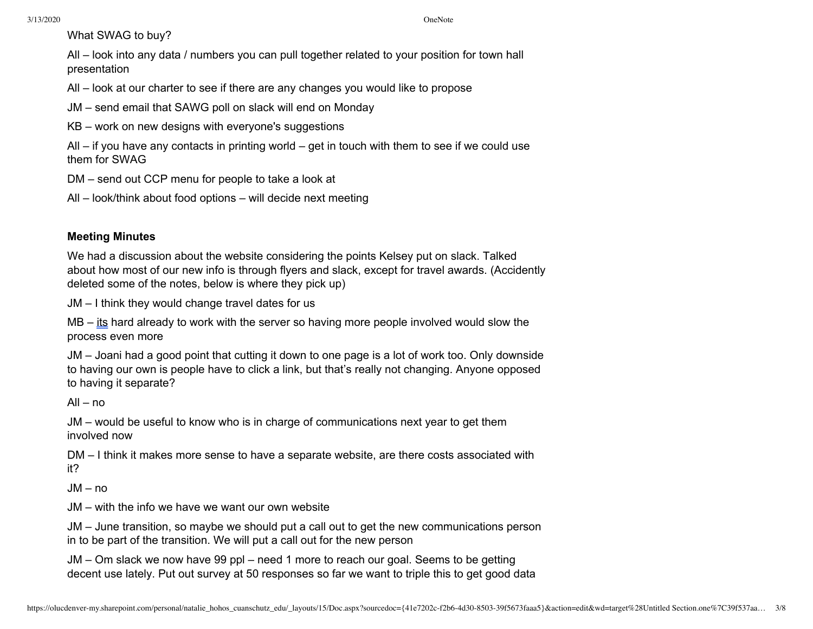What SWAG to buy?

All – look into any data / numbers you can pull together related to your position for town hall presentation

All – look at our charter to see if there are any changes you would like to propose

JM – send email that SAWG poll on slack will end on Monday

KB – work on new designs with everyone's suggestions

All  $-$  if you have any contacts in printing world  $-$  get in touch with them to see if we could use them for SWAG

DM – send out CCP menu for people to take a look at

All – look/think about food options – will decide next meeting

# **Meeting Minutes**

We had a discussion about the website considering the points Kelsey put on slack. Talked about how most of our new info is through flyers and slack, except for travel awards. (Accidently deleted some of the notes, below is where they pick up)

JM – I think they would change travel dates for us

MB – its hard already to work with the server so having more people involved would slow the process even more

JM – Joani had a good point that cutting it down to one page is a lot of work too. Only downside to having our own is people have to click a link, but that's really not changing. Anyone opposed to having it separate?

All – no

JM – would be useful to know who is in charge of communications next year to get them involved now

DM – I think it makes more sense to have a separate website, are there costs associated with it?

JM – no

JM – with the info we have we want our own website

JM – June transition, so maybe we should put a call out to get the new communications person in to be part of the transition. We will put a call out for the new person

JM – Om slack we now have 99 ppl – need 1 more to reach our goal. Seems to be getting decent use lately. Put out survey at 50 responses so far we want to triple this to get good data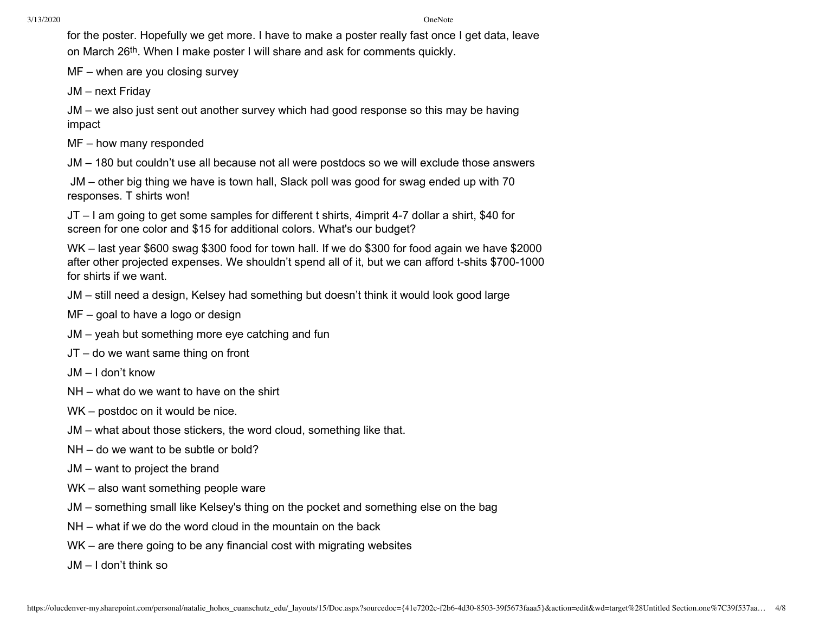for the poster. Hopefully we get more. I have to make a poster really fast once I get data, leave on March 26th. When I make poster I will share and ask for comments quickly.

MF – when are you closing survey

JM – next Friday

JM – we also just sent out another survey which had good response so this may be having impact

MF – how many responded

JM – 180 but couldn't use all because not all were postdocs so we will exclude those answers

JM – other big thing we have is town hall, Slack poll was good for swag ended up with 70 responses. T shirts won!

JT – I am going to get some samples for different t shirts, 4imprit 4-7 dollar a shirt, \$40 for screen for one color and \$15 for additional colors. What's our budget?

WK – last year \$600 swag \$300 food for town hall. If we do \$300 for food again we have \$2000 after other projected expenses. We shouldn't spend all of it, but we can afford t-shits \$700-1000 for shirts if we want.

JM – still need a design, Kelsey had something but doesn't think it would look good large

- MF goal to have a logo or design
- JM yeah but something more eye catching and fun
- JT do we want same thing on front
- JM I don't know
- NH what do we want to have on the shirt
- WK postdoc on it would be nice.
- JM what about those stickers, the word cloud, something like that.
- NH do we want to be subtle or bold?
- JM want to project the brand
- WK also want something people ware
- JM something small like Kelsey's thing on the pocket and something else on the bag
- NH what if we do the word cloud in the mountain on the back
- WK are there going to be any financial cost with migrating websites

JM – I don't think so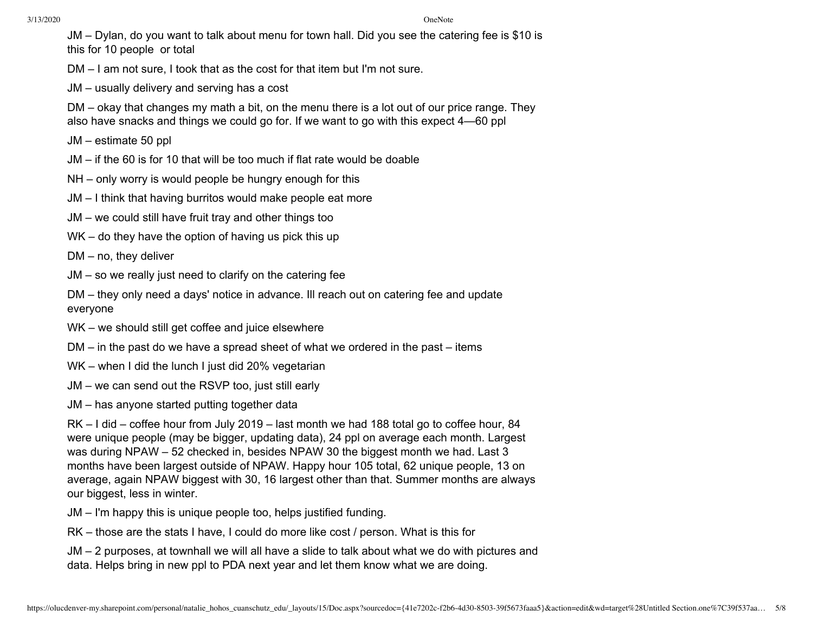JM – Dylan, do you want to talk about menu for town hall. Did you see the catering fee is \$10 is this for 10 people or total

DM – I am not sure, I took that as the cost for that item but I'm not sure.

JM – usually delivery and serving has a cost

DM – okay that changes my math a bit, on the menu there is a lot out of our price range. They also have snacks and things we could go for. If we want to go with this expect 4—60 ppl

- JM estimate 50 ppl
- JM if the 60 is for 10 that will be too much if flat rate would be doable
- NH only worry is would people be hungry enough for this
- JM I think that having burritos would make people eat more
- JM we could still have fruit tray and other things too
- WK do they have the option of having us pick this up

DM – no, they deliver

JM – so we really just need to clarify on the catering fee

DM – they only need a days' notice in advance. Ill reach out on catering fee and update everyone

- WK we should still get coffee and juice elsewhere
- DM in the past do we have a spread sheet of what we ordered in the past items
- WK when I did the lunch I just did 20% vegetarian
- JM we can send out the RSVP too, just still early
- JM has anyone started putting together data

RK – I did – coffee hour from July 2019 – last month we had 188 total go to coffee hour, 84 were unique people (may be bigger, updating data), 24 ppl on average each month. Largest was during NPAW – 52 checked in, besides NPAW 30 the biggest month we had. Last 3 months have been largest outside of NPAW. Happy hour 105 total, 62 unique people, 13 on average, again NPAW biggest with 30, 16 largest other than that. Summer months are always our biggest, less in winter.

JM – I'm happy this is unique people too, helps justified funding.

RK – those are the stats I have, I could do more like cost / person. What is this for

JM – 2 purposes, at townhall we will all have a slide to talk about what we do with pictures and data. Helps bring in new ppl to PDA next year and let them know what we are doing.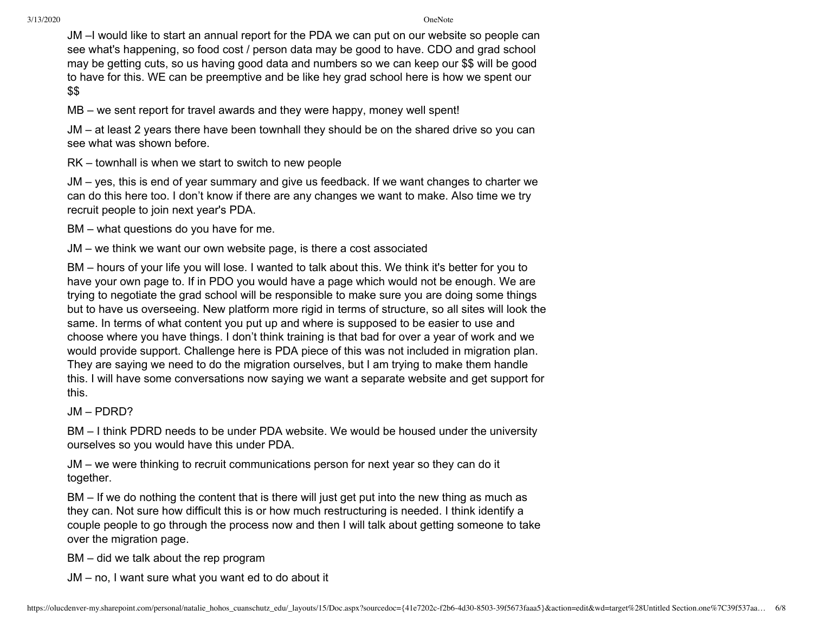JM –I would like to start an annual report for the PDA we can put on our website so people can see what's happening, so food cost / person data may be good to have. CDO and grad school may be getting cuts, so us having good data and numbers so we can keep our \$\$ will be good to have for this. WE can be preemptive and be like hey grad school here is how we spent our \$\$

MB – we sent report for travel awards and they were happy, money well spent!

JM – at least 2 years there have been townhall they should be on the shared drive so you can see what was shown before.

RK – townhall is when we start to switch to new people

JM – yes, this is end of year summary and give us feedback. If we want changes to charter we can do this here too. I don't know if there are any changes we want to make. Also time we try recruit people to join next year's PDA.

BM – what questions do you have for me.

JM – we think we want our own website page, is there a cost associated

BM – hours of your life you will lose. I wanted to talk about this. We think it's better for you to have your own page to. If in PDO you would have a page which would not be enough. We are trying to negotiate the grad school will be responsible to make sure you are doing some things but to have us overseeing. New platform more rigid in terms of structure, so all sites will look the same. In terms of what content you put up and where is supposed to be easier to use and choose where you have things. I don't think training is that bad for over a year of work and we would provide support. Challenge here is PDA piece of this was not included in migration plan. They are saying we need to do the migration ourselves, but I am trying to make them handle this. I will have some conversations now saying we want a separate website and get support for this.

JM – PDRD?

BM – I think PDRD needs to be under PDA website. We would be housed under the university ourselves so you would have this under PDA.

JM – we were thinking to recruit communications person for next year so they can do it together.

BM – If we do nothing the content that is there will just get put into the new thing as much as they can. Not sure how difficult this is or how much restructuring is needed. I think identify a couple people to go through the process now and then I will talk about getting someone to take over the migration page.

BM – did we talk about the rep program

JM – no, I want sure what you want ed to do about it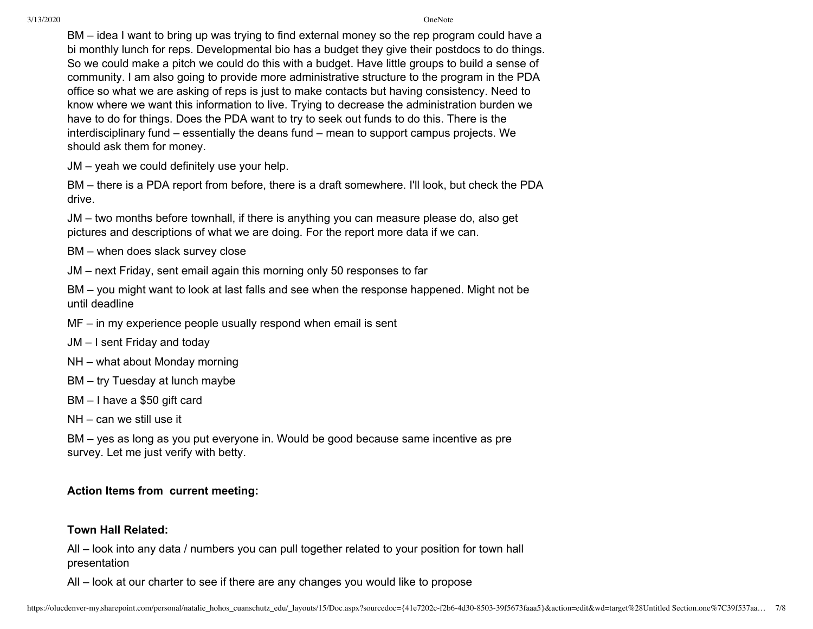BM – idea I want to bring up was trying to find external money so the rep program could have a bi monthly lunch for reps. Developmental bio has a budget they give their postdocs to do things. So we could make a pitch we could do this with a budget. Have little groups to build a sense of community. I am also going to provide more administrative structure to the program in the PDA office so what we are asking of reps is just to make contacts but having consistency. Need to know where we want this information to live. Trying to decrease the administration burden we have to do for things. Does the PDA want to try to seek out funds to do this. There is the interdisciplinary fund – essentially the deans fund – mean to support campus projects. We should ask them for money.

JM – yeah we could definitely use your help.

BM – there is a PDA report from before, there is a draft somewhere. I'll look, but check the PDA drive.

JM – two months before townhall, if there is anything you can measure please do, also get pictures and descriptions of what we are doing. For the report more data if we can.

BM – when does slack survey close

JM – next Friday, sent email again this morning only 50 responses to far

BM – you might want to look at last falls and see when the response happened. Might not be until deadline

MF – in my experience people usually respond when email is sent

JM – I sent Friday and today

NH – what about Monday morning

BM – try Tuesday at lunch maybe

BM – I have a \$50 gift card

NH – can we still use it

BM – yes as long as you put everyone in. Would be good because same incentive as pre survey. Let me just verify with betty.

# **Action Items from current meeting:**

# **Town Hall Related:**

All – look into any data / numbers you can pull together related to your position for town hall presentation

All – look at our charter to see if there are any changes you would like to propose